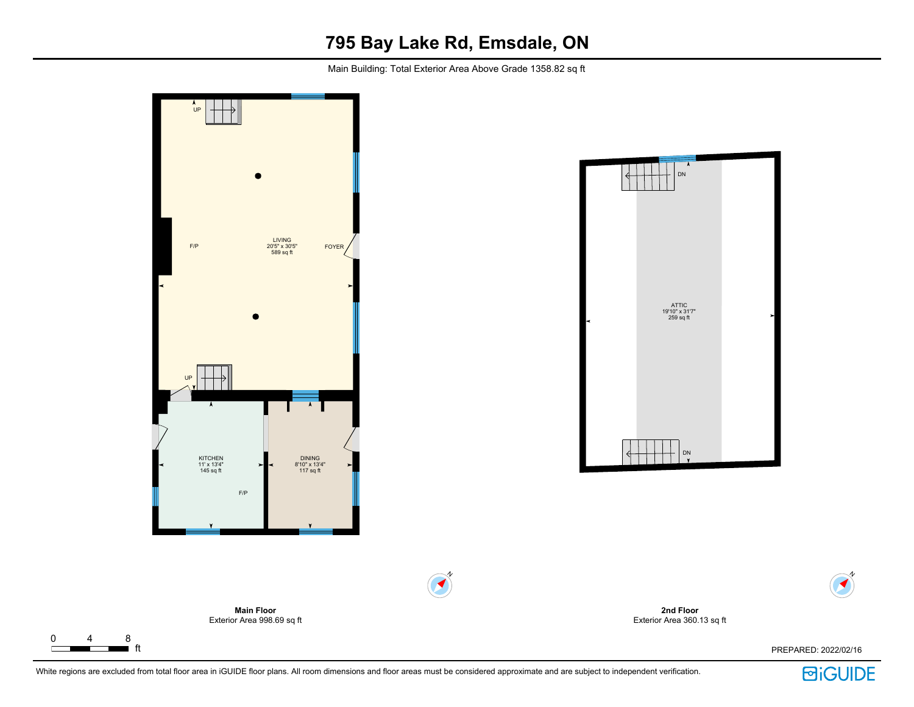## **795 Bay Lake Rd, Emsdale, ON**

Main Building: Total Exterior Area Above Grade 1358.82 sq ft



White regions are excluded from total floor area in iGUIDE floor plans. All room dimensions and floor areas must be considered approximate and are subject to independent verification.

 $\Gamma$ 

ft PREPARED: 2022/02/16

**回iGUIDE** 

N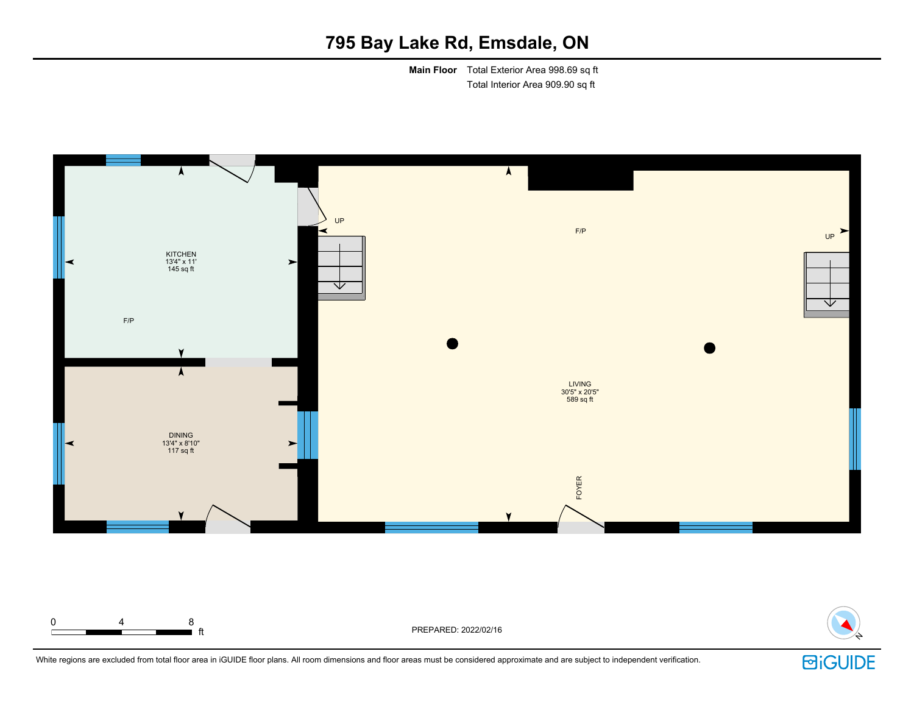## **795 Bay Lake Rd, Emsdale, ON**

**Main Floor** Total Exterior Area 998.69 sq ft Total Interior Area 909.90 sq ft





White regions are excluded from total floor area in iGUIDE floor plans. All room dimensions and floor areas must be considered approximate and are subject to independent verification.

0 4 8

**固iGUIDE**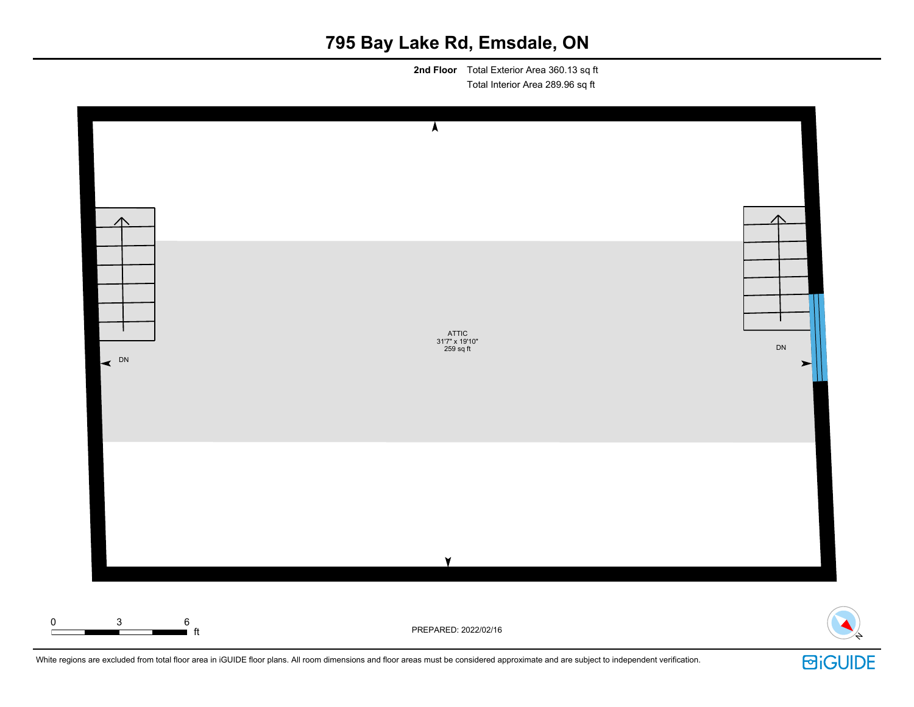# **795 Bay Lake Rd, Emsdale, ON**

**2nd Floor** Total Exterior Area 360.13 sq ft Total Interior Area 289.96 sq ft



White regions are excluded from total floor area in iGUIDE floor plans. All room dimensions and floor areas must be considered approximate and are subject to independent verification.

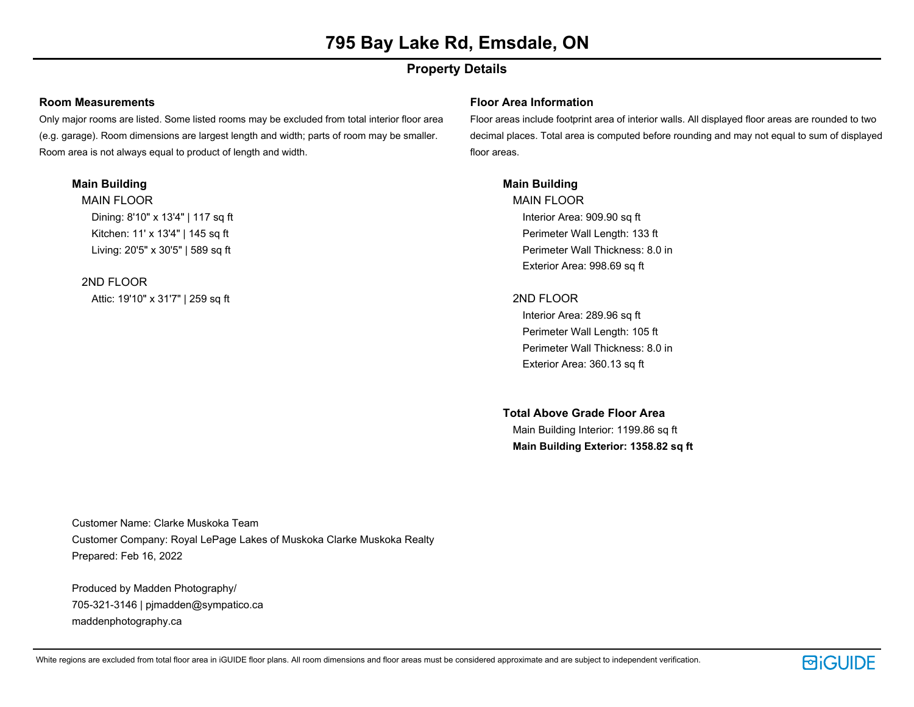## **Property Details**

#### **Room Measurements**

Only major rooms are listed. Some listed rooms may be excluded from total interior floor area (e.g. garage). Room dimensions are largest length and width; parts of room may be smaller. Room area is not always equal to product of length and width.

### **Main Building**

MAIN FLOOR Dining: 8'10" x 13'4" | 117 sq ft Kitchen: 11' x 13'4" | 145 sq ft Living: 20'5" x 30'5" | 589 sq ft

## 2ND FLOOR

Attic: 19'10" x 31'7" | 259 sq ft

### **Floor Area Information**

Floor areas include footprint area of interior walls. All displayed floor areas are rounded to two decimal places. Total area is computed before rounding and may not equal to sum of displayed floor areas.

## **Main Building**

MAIN FLOOR Interior Area: 909.90 sq ft Perimeter Wall Length: 133 ft Perimeter Wall Thickness: 8.0 in Exterior Area: 998.69 sq ft

## 2ND FLOOR

Interior Area: 289.96 sq ft Perimeter Wall Length: 105 ft Perimeter Wall Thickness: 8.0 in Exterior Area: 360.13 sq ft

## **Total Above Grade Floor Area**

Main Building Interior: 1199.86 sq ft **Main Building Exterior: 1358.82 sq ft**

Customer Name: Clarke Muskoka Team Customer Company: Royal LePage Lakes of Muskoka Clarke Muskoka Realty Prepared: Feb 16, 2022

Produced by Madden Photography/ 705-321-3146 | pjmadden@sympatico.ca maddenphotography.ca